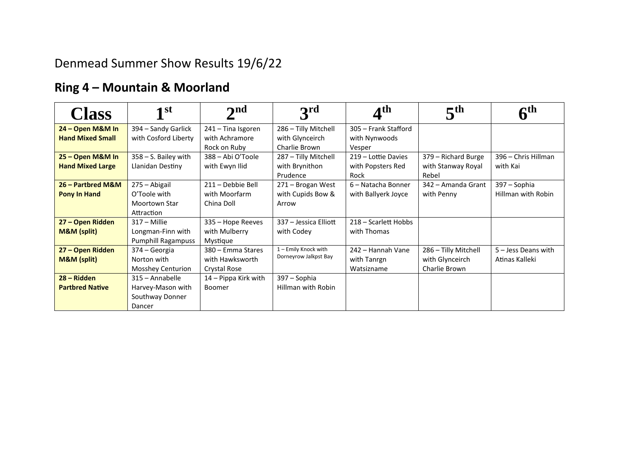## Denmead Summer Show Results 19/6/22

## **Ring 4 – Mountain & Moorland**

| <b>Class</b>            | 1 <sup>st</sup>           | $\mathbf{\Omega}$    | 3 <sup>rd</sup>       | $\boldsymbol{A}^{\text{th}}$ | 5 <sup>th</sup>      | cth                   |
|-------------------------|---------------------------|----------------------|-----------------------|------------------------------|----------------------|-----------------------|
| 24 - Open M&M In        | 394 - Sandy Garlick       | 241 – Tina Isgoren   | 286 - Tilly Mitchell  | 305 - Frank Stafford         |                      |                       |
| <b>Hand Mixed Small</b> | with Cosford Liberty      | with Achramore       | with Glynceirch       | with Nynwoods                |                      |                       |
|                         |                           | Rock on Ruby         | Charlie Brown         | Vesper                       |                      |                       |
| 25 - Open M&M In        | $358 - S$ . Bailey with   | 388 - Abi O'Toole    | 287 - Tilly Mitchell  | 219 - Lottie Davies          | 379 - Richard Burge  | 396 - Chris Hillman   |
| <b>Hand Mixed Large</b> | Llanidan Destiny          | with Ewyn Ilid       | with Brynithon        | with Popsters Red            | with Stanway Royal   | with Kai              |
|                         |                           |                      | Prudence              | Rock                         | Rebel                |                       |
| 26 - Partbred M&M       | 275 - Abigail             | 211 - Debbie Bell    | 271 - Brogan West     | 6 - Natacha Bonner           | 342 – Amanda Grant   | 397 - Sophia          |
| Pony In Hand            | O'Toole with              | with Moorfarm        | with Cupids Bow &     | with Ballyerk Joyce          | with Penny           | Hillman with Robin    |
|                         | <b>Moortown Star</b>      | China Doll           | Arrow                 |                              |                      |                       |
|                         | Attraction                |                      |                       |                              |                      |                       |
| 27 - Open Ridden        | $317 -$ Millie            | 335 - Hope Reeves    | 337 - Jessica Elliott | 218 - Scarlett Hobbs         |                      |                       |
| M&M (split)             | Longman-Finn with         | with Mulberry        | with Codey            | with Thomas                  |                      |                       |
|                         | <b>Pumphill Ragampuss</b> | Mystique             |                       |                              |                      |                       |
| 27 - Open Ridden        | 374 – Georgia             | 380 – Emma Stares    | 1 - Emily Knock with  | 242 - Hannah Vane            | 286 - Tilly Mitchell | $5 -$ Jess Deans with |
| M&M (split)             | Norton with               | with Hawksworth      | Dorneyrow Jalkpst Bay | with Tanrgn                  | with Glynceirch      | Atinas Kalleki        |
|                         | Mosshey Centurion         | Crystal Rose         |                       | Watsizname                   | Charlie Brown        |                       |
| 28 – Ridden             | 315 - Annabelle           | 14 - Pippa Kirk with | 397 – Sophia          |                              |                      |                       |
| <b>Partbred Native</b>  | Harvey-Mason with         | Boomer               | Hillman with Robin    |                              |                      |                       |
|                         | Southway Donner           |                      |                       |                              |                      |                       |
|                         | Dancer                    |                      |                       |                              |                      |                       |